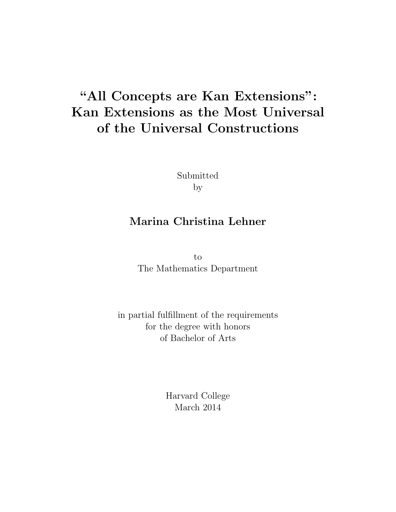# **"All Concepts are Kan Extensions": Kan Extensions as the Most Universal of the Universal Constructions**

Submitted by

## **Marina Christina Lehner**

to The Mathematics Department

in partial fulfillment of the requirements for the degree with honors of Bachelor of Arts

> Harvard College March 2014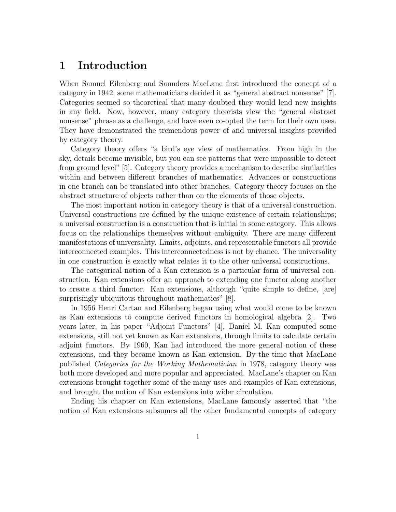#### **1 Introduction**

When Samuel Eilenberg and Saunders MacLane first introduced the concept of a category in 1942, some mathematicians derided it as "general abstract nonsense" [7]. Categories seemed so theoretical that many doubted they would lend new insights in any field. Now, however, many category theorists view the "general abstract nonsense" phrase as a challenge, and have even co-opted the term for their own uses. They have demonstrated the tremendous power of and universal insights provided by category theory.

Category theory offers "a bird's eye view of mathematics. From high in the sky, details become invisible, but you can see patterns that were impossible to detect from ground level" [5]. Category theory provides a mechanism to describe similarities within and between different branches of mathematics. Advances or constructions in one branch can be translated into other branches. Category theory focuses on the abstract structure of objects rather than on the elements of those objects.

The most important notion in category theory is that of a universal construction. Universal constructions are defined by the unique existence of certain relationships; a universal construction is a construction that is initial in some category. This allows focus on the relationships themselves without ambiguity. There are many different manifestations of universality. Limits, adjoints, and representable functors all provide interconnected examples. This interconnectedness is not by chance. The universality in one construction is exactly what relates it to the other universal constructions.

The categorical notion of a Kan extension is a particular form of universal construction. Kan extensions offer an approach to extending one functor along another to create a third functor. Kan extensions, although "quite simple to define, [are] surprisingly ubiquitous throughout mathematics" [8].

In 1956 Henri Cartan and Eilenberg began using what would come to be known as Kan extensions to compute derived functors in homological algebra [2]. Two years later, in his paper "Adjoint Functors" [4], Daniel M. Kan computed some extensions, still not yet known as Kan extensions, through limits to calculate certain adjoint functors. By 1960, Kan had introduced the more general notion of these extensions, and they became known as Kan extension. By the time that MacLane published *Categories for the Working Mathematician* in 1978, category theory was both more developed and more popular and appreciated. MacLane's chapter on Kan extensions brought together some of the many uses and examples of Kan extensions, and brought the notion of Kan extensions into wider circulation.

Ending his chapter on Kan extensions, MacLane famously asserted that "the notion of Kan extensions subsumes all the other fundamental concepts of category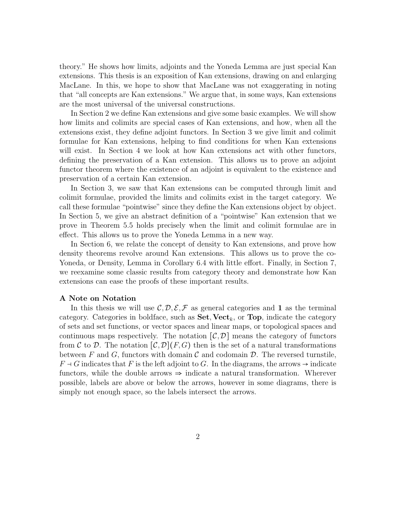theory." He shows how limits, adjoints and the Yoneda Lemma are just special Kan extensions. This thesis is an exposition of Kan extensions, drawing on and enlarging MacLane. In this, we hope to show that MacLane was not exaggerating in noting that "all concepts are Kan extensions." We argue that, in some ways, Kan extensions are the most universal of the universal constructions.

In Section 2 we define Kan extensions and give some basic examples. We will show how limits and colimits are special cases of Kan extensions, and how, when all the extensions exist, they define adjoint functors. In Section 3 we give limit and colimit formulae for Kan extensions, helping to find conditions for when Kan extensions will exist. In Section 4 we look at how Kan extensions act with other functors, defining the preservation of a Kan extension. This allows us to prove an adjoint functor theorem where the existence of an adjoint is equivalent to the existence and preservation of a certain Kan extension.

In Section 3, we saw that Kan extensions can be computed through limit and colimit formulae, provided the limits and colimits exist in the target category. We call these formulae "pointwise" since they define the Kan extensions object by object. In Section 5, we give an abstract definition of a "pointwise" Kan extension that we prove in Theorem 5.5 holds precisely when the limit and colimit formulae are in effect. This allows us to prove the Yoneda Lemma in a new way.

In Section 6, we relate the concept of density to Kan extensions, and prove how density theorems revolve around Kan extensions. This allows us to prove the co-Yoneda, or Density, Lemma in Corollary 6.4 with little effort. Finally, in Section 7, we reexamine some classic results from category theory and demonstrate how Kan extensions can ease the proofs of these important results.

#### **A Note on Notation**

In this thesis we will use  $\mathcal{C}, \mathcal{D}, \mathcal{E}, \mathcal{F}$  as general categories and **1** as the terminal category. Categories in boldface, such as  $\textbf{Set}, \textbf{Vect}_k$ , or  $\textbf{Top}$ , indicate the category of sets and set functions, or vector spaces and linear maps, or topological spaces and continuous maps respectively. The notation  $[\mathcal{C}, \mathcal{D}]$  means the category of functors from C to D. The notation  $[\mathcal{C}, \mathcal{D}](F, G)$  then is the set of a natural transformations between F and G, functors with domain  $\mathcal C$  and codomain  $\mathcal D$ . The reversed turnstile,  $F \dashv G$  indicates that F is the left adjoint to G. In the diagrams, the arrows  $\rightarrow$  indicate functors, while the double arrows  $\Rightarrow$  indicate a natural transformation. Wherever possible, labels are above or below the arrows, however in some diagrams, there is simply not enough space, so the labels intersect the arrows.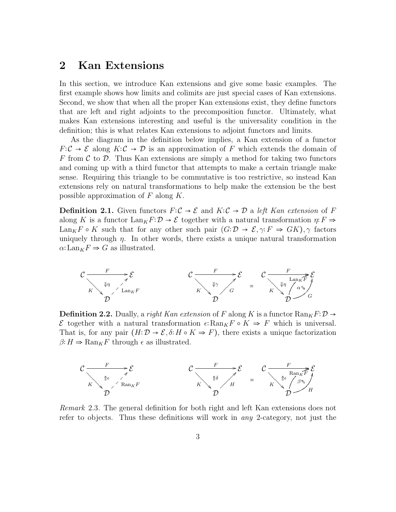#### **2 Kan Extensions**

In this section, we introduce Kan extensions and give some basic examples. The first example shows how limits and colimits are just special cases of Kan extensions. Second, we show that when all the proper Kan extensions exist, they define functors that are left and right adjoints to the precomposition functor. Ultimately, what makes Kan extensions interesting and useful is the universality condition in the definition; this is what relates Kan extensions to adjoint functors and limits.

As the diagram in the definition below implies, a Kan extension of a functor  $F: \mathcal{C} \to \mathcal{E}$  along  $K: \mathcal{C} \to \mathcal{D}$  is an approximation of *F* which extends the domain of *F* from  $\mathcal C$  to  $\mathcal D$ . Thus Kan extensions are simply a method for taking two functors and coming up with a third functor that attempts to make a certain triangle make sense. Requiring this triangle to be commutative is too restrictive, so instead Kan extensions rely on natural transformations to help make the extension be the best possible approximation of *F* along *K*.

**Definition 2.1.** Given functors  $F: \mathcal{C} \to \mathcal{E}$  and  $K: \mathcal{C} \to \mathcal{D}$  a *left Kan extension* of F along *K* is a functor  $\text{Lan}_K F: \mathcal{D} \to \mathcal{E}$  together with a natural transformation  $\eta: F \to$ Lan<sub>K</sub>F  $\circ$  K such that for any other such pair  $(G:\mathcal{D}\to \mathcal{E}, \gamma: F \Rightarrow GK)$ ,  $\gamma$  factors uniquely through  $\eta$ . In other words, there exists a unique natural transformation  $\alpha: \text{Lan}_K F \Rightarrow G$  as illustrated.



**Definition 2.2.** Dually, a *right Kan extension* of *F* along *K* is a functor  $\text{Ran}_K F: \mathcal{D} \to$ E together with a natural transformation  $\epsilon: \text{Ran}_K F \circ K \Rightarrow F$  which is universal. That is, for any pair  $(H: \mathcal{D} \to \mathcal{E}, \delta: H \circ K \Rightarrow F)$ , there exists a unique factorization  $\beta$ <sup>2</sup>  $H \Rightarrow$  Ran<sub>*K</sub>F* through  $\epsilon$  as illustrated.</sub>



*Remark* 2.3*.* The general definition for both right and left Kan extensions does not refer to objects. Thus these definitions will work in *any* 2-category, not just the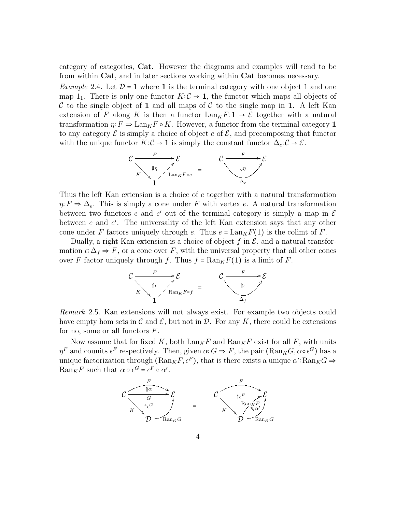category of categories, **Cat**. However the diagrams and examples will tend to be from within **Cat**, and in later sections working within **Cat** becomes necessary.

*Example* 2.4. Let  $\mathcal{D} = 1$  where 1 is the terminal category with one object 1 and one map  $1_1$ . There is only one functor  $K: \mathcal{C} \to \mathbf{1}$ , the functor which maps all objects of C to the single object of 1 and all maps of C to the single map in 1. A left Kan extension of *F* along *K* is then a functor  $\text{Lan}_K F: \mathbf{1} \to \mathcal{E}$  together with a natural transformation  $\eta: F \Rightarrow \text{Lan}_K F \circ K$ . However, a functor from the terminal category 1 to any category  $\mathcal E$  is simply a choice of object  $e$  of  $\mathcal E$ , and precomposing that functor with the unique functor  $K: \mathcal{C} \to \mathbf{1}$  is simply the constant functor  $\Delta_e: \mathcal{C} \to \mathcal{E}$ .



Thus the left Kan extension is a choice of *e* together with a natural transformation  $\eta$ <sup>*:*</sup>  $F \Rightarrow \Delta_e$ . This is simply a cone under *F* with vertex *e*. A natural transformation between two functors  $e$  and  $e'$  out of the terminal category is simply a map in  $\mathcal E$ between *e* and *e'*. The universality of the left Kan extension says that any other cone under *F* factors uniquely through *e*. Thus  $e = \text{Lan}_K F(1)$  is the colimt of *F*.

Dually, a right Kan extension is a choice of object  $f$  in  $\mathcal{E}$ , and a natural transformation  $\epsilon$ ∶  $\Delta_f \Rightarrow F$ , or a cone over *F*, with the universal property that all other cones over *F* factor uniquely through *f*. Thus  $f = \text{Ran}_K F(1)$  is a limit of *F*.



*Remark* 2.5*.* Kan extensions will not always exist. For example two objects could have empty hom sets in  $\mathcal C$  and  $\mathcal E$ , but not in  $\mathcal D$ . For any K, there could be extensions for no, some or all functors *F*.

Now assume that for fixed K, both  $\text{Lan}_K F$  and  $\text{Ran}_K F$  exist for all F, with units *η*<sup>*F*</sup> and counits  $\epsilon^F$  respectively. Then, given  $\alpha$ ∶*G*  $\Rightarrow$  *F*, the pair (Ran<sub>*K</sub>G*,  $\alpha \circ \epsilon^G$ ) has a</sub> unique factorization through  $(\text{Ran}_K F, \epsilon^F)$ , that is there exists a unique  $\alpha'$ :  $\text{Ran}_K G \Rightarrow$  $\text{Ran}_K F$  such that  $\alpha \circ \epsilon^G = \epsilon^F \circ \alpha'$ .

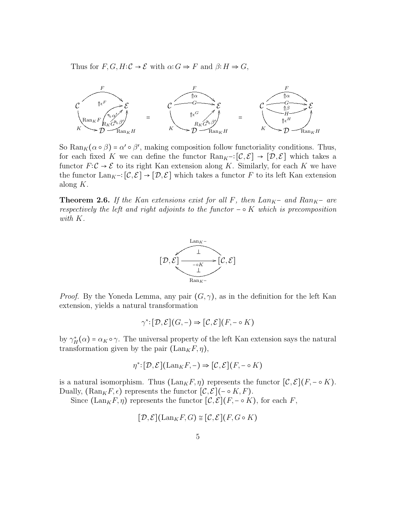Thus for  $F, G, H: \mathcal{C} \to \mathcal{E}$  with  $\alpha: G \Rightarrow F$  and  $\beta: H \Rightarrow G$ ,



So  $\text{Ran}_K(\alpha \circ \beta) = \alpha' \circ \beta'$ , making composition follow functoriality conditions. Thus, for each fixed *K* we can define the functor  $\text{Ran}_{K}$  –∶[ $\mathcal{C}, \mathcal{E}$ ]  $\rightarrow$  [ $\mathcal{D}, \mathcal{E}$ ] which takes a functor  $F: \mathcal{C} \to \mathcal{E}$  to its right Kan extension along K. Similarly, for each K we have the functor  $\text{Lan}_{K}$  -∶[ $\mathcal{C}, \mathcal{E}$ ]  $\rightarrow$  [ $\mathcal{D}, \mathcal{E}$ ] which takes a functor *F* to its left Kan extension along *K*.

**Theorem 2.6.** If the Kan extensions exist for all  $F$ , then  $Lan_K$ - and  $Ran_K$ - are *respectively the left and right adjoints to the functor*  $- \circ K$  *which is precomposition with K.*



*Proof.* By the Yoneda Lemma, any pair  $(G, \gamma)$ , as in the definition for the left Kan extension, yields a natural transformation

$$
\gamma^*:[\mathcal{D},\mathcal{E}](G,-)\Rightarrow [\mathcal{C},\mathcal{E}](F,-\circ K)
$$

by  $\gamma^*_{H}(\alpha) = \alpha_K \circ \gamma$ . The universal property of the left Kan extension says the natural transformation given by the pair  $(\text{Lan}_K F, \eta)$ ,

$$
\eta^*:[\mathcal{D},\mathcal{E}](\mathrm{Lan}_K F,-)\Rightarrow [\mathcal{C},\mathcal{E}](F,-\circ K)
$$

is a natural isomorphism. Thus  $(\text{Lan}_K F, \eta)$  represents the functor  $[\mathcal{C}, \mathcal{E}](F, - \circ K)$ . Dually,  $(\text{Ran}_K F, \epsilon)$  represents the functor  $[\mathcal{C}, \mathcal{E}]$ (− ∘  $K, F$ ).

Since  $(\text{Lan}_K F, \eta)$  represents the functor  $[\mathcal{C}, \mathcal{E}](F, \neg \circ K)$ , for each *F*,

$$
[\mathcal{D}, \mathcal{E}](\mathrm{Lan}_K F, G) \cong [\mathcal{C}, \mathcal{E}](F, G \circ K)
$$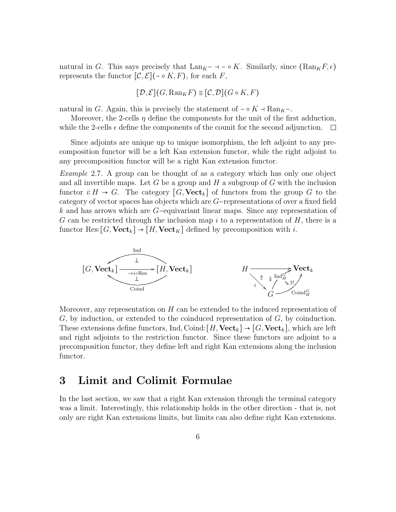natural in *G*. This says precisely that  $\text{Lan}_K - \text{Hom}(K)$ . Similarly, since  $(\text{Ran}_K F, \epsilon)$ represents the functor  $[\mathcal{C}, \mathcal{E}]$ ( $\sim$   $K, F$ ), for each  $F$ ,

$$
[\mathcal{D},\mathcal{E}](G, \mathrm{Ran}_K F) \cong [\mathcal{C},\mathcal{D}](G\circ K, F)
$$

natural in *G*. Again, this is precisely the statement of  $-\circ K - \text{Ran}_K -$ .

Moreover, the 2-cells  $\eta$  define the components for the unit of the first adduction, while the 2-cells  $\epsilon$  define the components of the counit for the second adjunction.  $\Box$ 

Since adjoints are unique up to unique isomorphism, the left adjoint to any precomposition functor will be a left Kan extension functor, while the right adjoint to any precomposition functor will be a right Kan extension functor.

*Example* 2.7*.* A group can be thought of as a category which has only one object and all invertible maps. Let *G* be a group and *H* a subgroup of *G* with the inclusion functor  $i: H \to G$ . The category  $[G, \textbf{Vect}_k]$  of functors from the group *G* to the category of vector spaces has objects which are *G*−representations of over a fixed field *k* and has arrows which are *G*−equivariant linear maps. Since any representation of *G* can be restricted through the inclusion map *i* to a representation of *H*, there is a functor Res:  $[G, \text{Vect}_k] \rightarrow [H, \text{Vect}_K]$  defined by precomposition with *i*.



Moreover, any representation on *H* can be extended to the induced representation of *G*, by induction, or extended to the coinduced representation of *G*, by coinduction. These extensions define functors, Ind, Coind:  $[H, \text{Vect}_k] \to [G, \text{Vect}_k]$ , which are left and right adjoints to the restriction functor. Since these functors are adjoint to a precomposition functor, they define left and right Kan extensions along the inclusion functor.

#### **3 Limit and Colimit Formulae**

In the last section, we saw that a right Kan extension through the terminal category was a limit. Interestingly, this relationship holds in the other direction - that is, not only are right Kan extensions limits, but limits can also define right Kan extensions.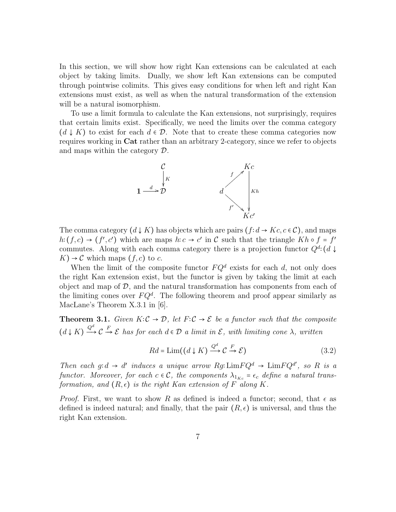In this section, we will show how right Kan extensions can be calculated at each object by taking limits. Dually, we show left Kan extensions can be computed through pointwise colimits. This gives easy conditions for when left and right Kan extensions must exist, as well as when the natural transformation of the extension will be a natural isomorphism.

To use a limit formula to calculate the Kan extensions, not surprisingly, requires that certain limits exist. Specifically, we need the limits over the comma category  $(d \downarrow K)$  to exist for each  $d \in \mathcal{D}$ . Note that to create these comma categories now requires working in **Cat** rather than an arbitrary 2-category, since we refer to objects and maps within the category D.



The comma category  $(d \downarrow K)$  has objects which are pairs  $(f : d \rightarrow Kc, c \in C)$ , and maps  $h: (f, c) \rightarrow (f', c')$  which are maps  $h: c \rightarrow c'$  in C such that the triangle  $Kh \circ f = f'$ commutes. Along with each comma category there is a projection functor  $Q^d$ :  $(d \downarrow$  $K$ )  $\rightarrow$  C which maps  $(f, c)$  to c.

When the limit of the composite functor  $FQ^d$  exists for each  $d$ , not only does the right Kan extension exist, but the functor is given by taking the limit at each object and map of  $\mathcal{D}$ , and the natural transformation has components from each of the limiting cones over  $FQ^d$ . The following theorem and proof appear similarly as MacLane's Theorem X.3.1 in [6].

**Theorem 3.1.** *Given*  $K:\mathcal{C} \to \mathcal{D}$ *, let*  $F:\mathcal{C} \to \mathcal{E}$  *be a functor such that the composite*  $(d \downarrow K) \frac{Q^d}{d}$  $\rightarrow$  C  $\rightarrow$  *E has for each*  $d \in \mathcal{D}$  *a limit in*  $\mathcal{E}$ *, with limiting cone*  $\lambda$ *, written* 

$$
Rd = \text{Lim}((d \downarrow K) \xrightarrow{Q^d} \mathcal{C} \xrightarrow{F} \mathcal{E})
$$
\n(3.2)

*Then each*  $g: d \to d'$  *induces a unique arrow*  $Rg: \text{Lim} FQ^d \to \text{Lim} FQ^d'$ , so R is a *functor.* Moreover, for each  $c \in \mathcal{C}$ , the components  $\lambda_{1_{K_c}} = \epsilon_c$  *define a natural transformation, and*  $(R, \epsilon)$  *is the right Kan extension of*  $F$  *along*  $K$ *.* 

*Proof.* First, we want to show R as defined is indeed a functor; second, that  $\epsilon$  as defined is indeed natural; and finally, that the pair  $(R, \epsilon)$  is universal, and thus the right Kan extension.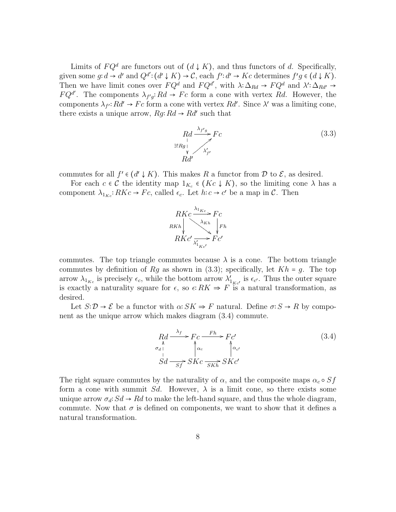Limits of  $FQ^d$  are functors out of  $(d \downarrow K)$ , and thus functors of *d*. Specifically, given some  $g: d \to d'$  and  $Q^{d'}: (d' \downarrow K) \to C$ , each  $f': d' \to Kc$  determines  $f'g \in (d \downarrow K)$ . Then we have limit cones over  $FQ^d$  and  $FQ^{d'}$ , with  $\lambda: \Delta_{Rd} \to FQ^d$  and  $\lambda': \Delta_{Rd'} \to$  $FQ^{d'}$ . The components  $\lambda_{f'g}: Rd \to Fc$  form a cone with vertex *Rd*. However, the components  $\lambda_{f}$ :  $R d' \rightarrow F c$  form a cone with vertex  $R d'$ . Since  $\lambda'$  was a limiting cone, there exists a unique arrow,  $Rg: Rd \rightarrow Rd'$  such that

$$
\underset{Rd'}{Rd} \xrightarrow{\lambda_{f'g}} Fc
$$
\n
$$
\underset{Rd'}{\overset{\lambda_{f'g}}{\longrightarrow}} Fc
$$
\n(3.3)

commutes for all  $f' \in (d' \downarrow K)$ . This makes  $R$  a functor from  $D$  to  $\mathcal{E}$ , as desired.

For each  $c \in \mathcal{C}$  the identity map  $1_{K_c} \in (K_c \downarrow K)$ , so the limiting cone  $\lambda$  has a component  $\lambda_{1_{K_c}}$ :  $RKc \to Fc$ , called  $\epsilon_c$ . Let  $h:c \to c'$  be a map in C. Then



commutes. The top triangle commutes because  $\lambda$  is a cone. The bottom triangle commutes by definition of  $Rg$  as shown in (3.3); specifically, let  $Kh = g$ . The top arrow  $\lambda_{1_{K_c}}$  is precisely  $\epsilon_c$ , while the bottom arrow  $\lambda'_{1_{K_c'}}$  is  $\epsilon_{c'}$ . Thus the outer square is exactly a naturality square for  $\epsilon$ , so  $\epsilon$ :  $RK \Rightarrow F$  is a natural transformation, as desired.

Let  $S: \mathcal{D} \to \mathcal{E}$  be a functor with  $\alpha: SK \Rightarrow F$  natural. Define  $\sigma: S \to R$  by component as the unique arrow which makes diagram (3.4) commute.

$$
Rd \xrightarrow{\lambda_f} Fc \xrightarrow{Fh} Fc'
$$
\n
$$
Sd \xrightarrow{Sf} SKc \xrightarrow{SKh} SKc'
$$
\n(3.4)

The right square commutes by the naturality of  $\alpha$ , and the composite maps  $\alpha_c \circ Sf$ form a cone with summit *Sd*. However,  $\lambda$  is a limit cone, so there exists some unique arrow  $\sigma_d$ :  $Sd \to Rd$  to make the left-hand square, and thus the whole diagram, commute. Now that  $\sigma$  is defined on components, we want to show that it defines a natural transformation.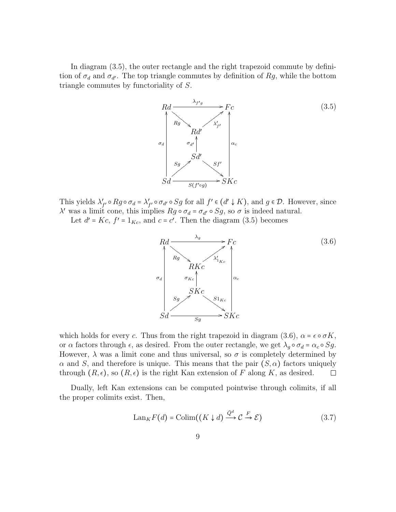In diagram (3.5), the outer rectangle and the right trapezoid commute by definition of  $\sigma_d$  and  $\sigma_{d'}$ . The top triangle commutes by definition of  $Rg$ , while the bottom triangle commutes by functoriality of *S*.



This yields  $\lambda'_{f'} \circ Rg \circ \sigma_d = \lambda'_{f'} \circ \sigma_{d'} \circ Sg$  for all  $f' \in (d' \downarrow K)$ , and  $g \in \mathcal{D}$ . However, since *λ*<sup> $\prime$ </sup> was a limit cone, this implies *Rg* ∘ *σ<sub>d</sub>* = *σ<sub>d</sub>* ∘ *Sg*, so *σ* is indeed natural.

Let  $d' = Kc$ ,  $f' = 1_{Kc}$ , and  $c = c'$ . Then the diagram (3.5) becomes



which holds for every *c*. Thus from the right trapezoid in diagram  $(3.6)$ ,  $\alpha = \epsilon \circ \sigma K$ , or *α* factors through  $\epsilon$ , as desired. From the outer rectangle, we get  $\lambda_q \circ \sigma_d = \alpha_c \circ Sg$ . However,  $\lambda$  was a limit cone and thus universal, so  $\sigma$  is completely determined by *α* and *S*, and therefore is unique. This means that the pair  $(S, \alpha)$  factors uniquely through  $(R, \epsilon)$ , so  $(R, \epsilon)$  is the right Kan extension of *F* along *K*, as desired. through  $(R, \epsilon)$ , so  $(R, \epsilon)$  is the right Kan extension of F along K, as desired.

Dually, left Kan extensions can be computed pointwise through colimits, if all the proper colimits exist. Then,

$$
\text{Lan}_K F(d) = \text{Colim}((K \downarrow d) \xrightarrow{\bar{Q}^d} \mathcal{C} \xrightarrow{F} \mathcal{E}) \tag{3.7}
$$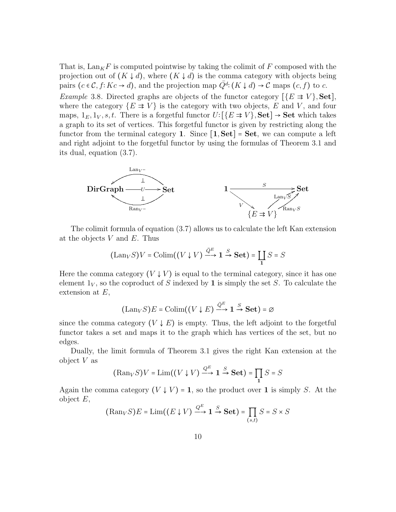That is,  $\text{Lan}_K F$  is computed pointwise by taking the colimit of F composed with the projection out of  $(K \downarrow d)$ , where  $(K \downarrow d)$  is the comma category with objects being pairs  $(c \in \mathcal{C}, f: Kc \to d)$ , and the projection map  $\overline{Q}^d: (K \downarrow d) \to \mathcal{C}$  maps  $(c, f)$  to *c*.

*Example* 3.8*.* Directed graphs are objects of the functor category  $[\{E \Rightarrow V\}$ , **Set**], where the category  $\{E \Rightarrow V\}$  is the category with two objects, *E* and *V*, and four maps,  $1_E, 1_V, s, t$ . There is a forgetful functor  $U: \{E \Rightarrow V\}$ , **Set**  $\rightarrow$  **Set** which takes a graph to its set of vertices. This forgetful functor is given by restricting along the functor from the terminal category **1**. Since  $\begin{bmatrix} 1, \text{Set} \end{bmatrix} = \text{Set}$ , we can compute a left and right adjoint to the forgetful functor by using the formulas of Theorem 3.1 and its dual, equation (3.7).



The colimit formula of equation (3.7) allows us to calculate the left Kan extension at the objects *V* and *E*. Thus

$$
(\mathrm{Lan}_V S)V = \mathrm{Colim}((V \downarrow V) \xrightarrow{\bar{Q}^E} \mathbf{1} \xrightarrow{S} \mathbf{Set}) = \coprod_{\mathbf{1}} S = S
$$

Here the comma category  $(V \downarrow V)$  is equal to the terminal category, since it has one element  $1_V$ , so the coproduct of *S* indexed by **1** is simply the set *S*. To calculate the extension at *E*,

$$
(\mathrm{Lan}_V S)E = \mathrm{Colim}((V \downarrow E) \xrightarrow{\bar{Q}^E} \mathbf{1} \xrightarrow{S} \mathbf{Set}) = \emptyset
$$

since the comma category  $(V \downarrow E)$  is empty. Thus, the left adjoint to the forgetful functor takes a set and maps it to the graph which has vertices of the set, but no edges.

Dually, the limit formula of Theorem 3.1 gives the right Kan extension at the object *V* as

$$
(\text{Ran}_V S)V = \text{Lim}((V \downarrow V) \xrightarrow{Q^E} \mathbf{1} \xrightarrow{S} \mathbf{Set}) = \prod_{\mathbf{1}} S = S
$$

Again the comma category  $(V \downarrow V) = 1$ , so the product over 1 is simply *S*. At the object *E*,

$$
(\text{Ran}_V S)E = \text{Lim}((E \downarrow V) \xrightarrow{Q^E} \mathbf{1} \xrightarrow{S} \mathbf{Set}) = \prod_{(s,t)} S = S \times S
$$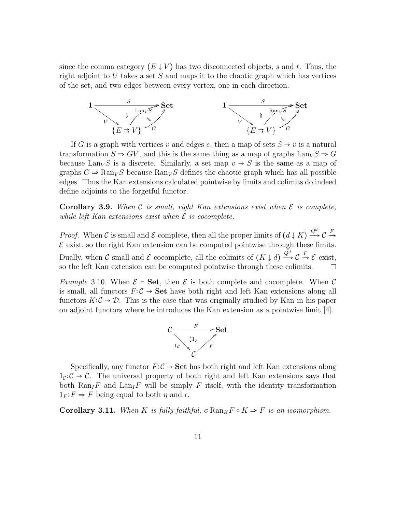since the comma category  $(E \downarrow V)$  has two disconnected objects, *s* and *t*. Thus, the right adjoint to *U* takes a set *S* and maps it to the chaotic graph which has vertices of the set, and two edges between every vertex, one in each direction.



If *G* is a graph with vertices *v* and edges *e*, then a map of sets  $S \rightarrow v$  is a natural transformation  $S \Rightarrow GV$ , and this is the same thing as a map of graphs  $\text{Lan}_V S \Rightarrow G$ because Lan<sub>V</sub>S is a discrete. Similarly, a set map  $v \rightarrow S$  is the same as a map of graphs  $G \Rightarrow \text{Ran}_V S$  because  $\text{Ran}_V S$  defines the chaotic graph which has all possible edges. Thus the Kan extensions calculated pointwise by limits and colimits do indeed define adjoints to the forgetful functor.

**Corollary 3.9.** When  $C$  *is small, right Kan extensions exist when*  $E$  *is complete, while left Kan extensions exist when*  $\mathcal{E}$  *is cocomplete.* 

*Proof.* When C is small and E complete, then all the proper limits of  $(d \downarrow K) \frac{Q^d}{d}$  $\longrightarrow$  C *F* $\rightarrow$  $\mathcal E$  exist, so the right Kan extension can be computed pointwise through these limits. Dually, when C small and E cocomplete, all the colimits of  $(K \downarrow d) \stackrel{\bar{Q}d}{\longrightarrow}$  $\longrightarrow$  C  $\stackrel{F}{\rightarrow}$  *E* exist, so the left Kan extension can be computed pointwise through these colimits.

*Example* 3.10. When  $\mathcal{E} = \mathbf{Set}$ , then  $\mathcal{E}$  is both complete and cocomplete. When  $\mathcal{C}$ is small, all functors  $F: \mathcal{C} \to \mathbf{Set}$  have both right and left Kan extensions along all functors  $K: \mathcal{C} \to \mathcal{D}$ . This is the case that was originally studied by Kan in his paper on adjoint functors where he introduces the Kan extension as a pointwise limit [4].



Specifically, any functor  $F: \mathcal{C} \to \mathbf{Set}$  has both right and left Kan extensions along  $1_c$ :  $C \rightarrow C$ . The universal property of both right and left Kan extensions says that both  $\text{Ran}_I F$  and  $\text{Lan}_I F$  will be simply *F* itself, with the identity transformation  $1_F$ :  $F \Rightarrow F$  being equal to both  $\eta$  and  $\epsilon$ .

**Corollary 3.11.** When *K* is fully faithful,  $\epsilon$ **:** Ran<sub>*K*</sub>*F*  $\circ$  *K*  $\Rightarrow$  *F* is an isomorphism.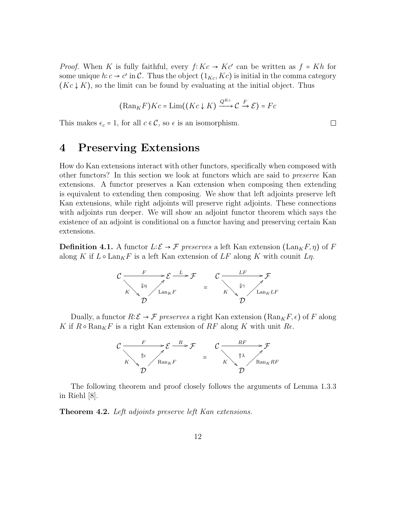*Proof.* When *K* is fully faithful, every  $f: Kc \to Kc'$  can be written as  $f = Kh$  for some unique  $h: c \to c'$  in C. Thus the object  $(1_{Kc}, Kc)$  is initial in the comma category  $(Kc \downarrow K)$ , so the limit can be found by evaluating at the initial object. Thus

$$
(\mathrm{Ran}_K F)Kc = \mathrm{Lim}((Kc \downarrow K) \xrightarrow{Q^{Kc}} \mathcal{C} \xrightarrow{F} \mathcal{E}) = Fc
$$

This makes  $\epsilon_c = 1$ , for all  $c \in \mathcal{C}$ , so  $\epsilon$  is an isomorphism.

#### **4 Preserving Extensions**

How do Kan extensions interact with other functors, specifically when composed with other functors? In this section we look at functors which are said to *preserve* Kan extensions. A functor preserves a Kan extension when composing then extending is equivalent to extending then composing. We show that left adjoints preserve left Kan extensions, while right adjoints will preserve right adjoints. These connections with adjoints run deeper. We will show an adjoint functor theorem which says the existence of an adjoint is conditional on a functor having and preserving certain Kan extensions.

**Definition 4.1.** A functor  $L: \mathcal{E} \to \mathcal{F}$  preserves a left Kan extension (Lan<sub>K</sub>F,  $\eta$ ) of F along *K* if  $L \circ \text{Lan}_K F$  is a left Kan extension of  $LF$  along *K* with counit  $L\eta$ .



Dually, a functor  $R: \mathcal{E} \to \mathcal{F}$  preserves a right Kan extension ( $\text{Ran}_K F, \epsilon$ ) of F along *K* if  $R \circ \text{Ran}_K F$  is a right Kan extension of  $RF$  along *K* with unit  $Re$ .



The following theorem and proof closely follows the arguments of Lemma 1.3.3 in Riehl [8].

**Theorem 4.2.** *Left adjoints preserve left Kan extensions.*

 $\Box$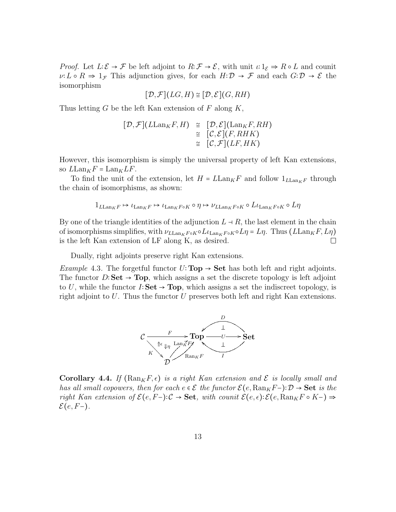*Proof.* Let  $L: \mathcal{E} \to \mathcal{F}$  be left adjoint to  $R: \mathcal{F} \to \mathcal{E}$ , with unit  $\iota: 1_{\mathcal{E}} \to R \circ L$  and counit  $\nu: L \circ R \Rightarrow 1_{\mathcal{F}}$  This adjunction gives, for each  $H: \mathcal{D} \to \mathcal{F}$  and each  $G: \mathcal{D} \to \mathcal{E}$  the isomorphism

$$
[\mathcal{D},\mathcal{F}](LG,H) \cong [\mathcal{D},\mathcal{E}](G,RH)
$$

Thus letting *G* be the left Kan extension of *F* along *K*,

$$
[\mathcal{D}, \mathcal{F}](L\text{Lan}_K F, H) \cong [\mathcal{D}, \mathcal{E}](\text{Lan}_K F, RH)
$$
  

$$
\cong [\mathcal{C}, \mathcal{E}](F, RHK)
$$
  

$$
\cong [\mathcal{C}, \mathcal{F}](LF, HK)
$$

However, this isomorphism is simply the universal property of left Kan extensions, so  $L\text{Lan}_K F = \text{Lan}_K LF$ .

To find the unit of the extension, let  $H = L \text{Lan}_K F$  and follow  $1_{L \text{Lan}_K F}$  through the chain of isomorphisms, as shown:

$$
1_{L\mathrm{Lan}_KF}\mapsto \iota_{\mathrm{Lan}_KF}\mapsto \iota_{\mathrm{Lan}_KF\circ K}\circ \eta \mapsto \nu_{L\mathrm{Lan}_KF\circ K}\circ L\iota_{\mathrm{Lan}_KF\circ K}\circ L\eta
$$

By one of the triangle identities of the adjunction  $L \to R$ , the last element in the chain of isomorphisms simplifies, with  $ν_{L\text{Lan}_KF \circ K} \circ Lι_{L\text{an}_KF \circ K} \circ Lη = Lη$ . Thus ( $L\text{Lan}_KF, Lη$ ) is the left Kan extension of LF along K, as desired. □ is the left Kan extension of LF along K, as desired.

Dually, right adjoints preserve right Kan extensions.

*Example* 4.3. The forgetful functor  $U: \textbf{Top} \to \textbf{Set}$  has both left and right adjoints. The functor *<sup>D</sup>*∶**Set** <sup>→</sup> **Top**, which assigns a set the discrete topology is left adjoint to *<sup>U</sup>*, while the functor *<sup>I</sup>*∶**Set** <sup>→</sup> **Top**, which assigns a set the indiscreet topology, is right adjoint to *U*. Thus the functor *U* preserves both left and right Kan extensions.



**Corollary 4.4.** If  $(\text{Ran}_K F, \epsilon)$  *is a right Kan extension and*  $\mathcal E$  *is locally small and has all small copowers, then for each*  $e \in \mathcal{E}$  *the functor*  $\mathcal{E}(e, \text{Ran}_K F-) : \mathcal{D} \to \mathbf{Set}$  *is the right Kan extension of*  $\mathcal{E}(e, F-)$ :  $\mathcal{C} \rightarrow$  **Set***, with counit*  $\mathcal{E}(e, \epsilon)$ :  $\mathcal{E}(e, \text{Ran}_K F \circ K-)$  ⇒ E(*e, F*−)*.*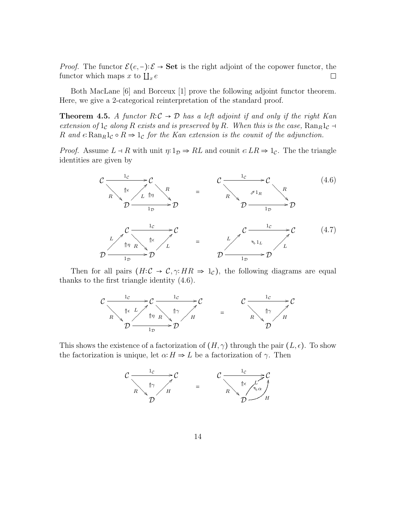*Proof.* The functor  $\mathcal{E}(e, -): \mathcal{E} \to \mathbf{Set}$  is the right adjoint of the copower functor, the functor which maps x to  $\prod_{\alpha} e$ functor which maps  $x$  to  $\prod_{x} e$ 

Both MacLane [6] and Borceux [1] prove the following adjoint functor theorem. Here, we give a 2-categorical reinterpretation of the standard proof.

**Theorem 4.5.** *A functor*  $R: \mathcal{C} \to \mathcal{D}$  *has a left adjoint if and only if the right Kan extension of*  $1_c$  *along*  $R$  *exists and is preserved by*  $R$ *. When this is the case,*  $\text{Ran}_R 1_c$  → *R* and  $\epsilon$ **:**  $\text{Ran}_R1_c \circ R \Rightarrow 1_c$  *for the Kan extension is the counit of the adjunction.* 

*Proof.* Assume  $L \dashv R$  with unit  $\eta: 1_{\mathcal{D}} \Rightarrow RL$  and counit  $\epsilon: LR \Rightarrow 1_{\mathcal{C}}$ . The the triangle identities are given by



Then for all pairs  $(H:C \rightarrow C, \gamma: HR \Rightarrow 1_{\mathcal{C}})$ , the following diagrams are equal thanks to the first triangle identity (4.6).



This shows the existence of a factorization of  $(H, \gamma)$  through the pair  $(L, \epsilon)$ . To show the factorization is unique, let  $\alpha$ <sup>*:*</sup>  $H \Rightarrow L$  be a factorization of  $\gamma$ *.* Then

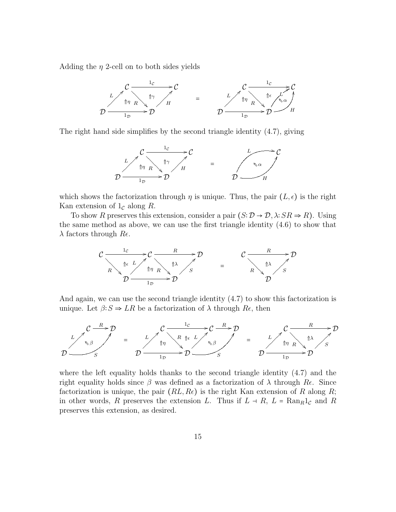Adding the *η* 2-cell on to both sides yields



The right hand side simplifies by the second triangle identity (4.7), giving



which shows the factorization through  $\eta$  is unique. Thus, the pair  $(L, \epsilon)$  is the right Kan extension of  $1<sub>c</sub>$  along *R*.

To show *R* preserves this extension, consider a pair  $(S: \mathcal{D} \to \mathcal{D}, \lambda: SR \Rightarrow R)$ . Using the same method as above, we can use the first triangle identity (4.6) to show that *λ* factors through *Rϵ*.



And again, we can use the second triangle identity (4.7) to show this factorization is unique. Let  $\beta: S \Rightarrow LR$  be a factorization of  $\lambda$  through  $Re$ , then



where the left equality holds thanks to the second triangle identity  $(4.7)$  and the right equality holds since *β* was defined as a factorization of *λ* through *Rϵ*. Since factorization is unique, the pair  $(RL, Re)$  is the right Kan extension of R along R; in other words, *R* preserves the extension *L*. Thus if  $L \rightarrow R$ ,  $L = \text{Ran}_R 1_c$  and *R* preserves this extension, as desired.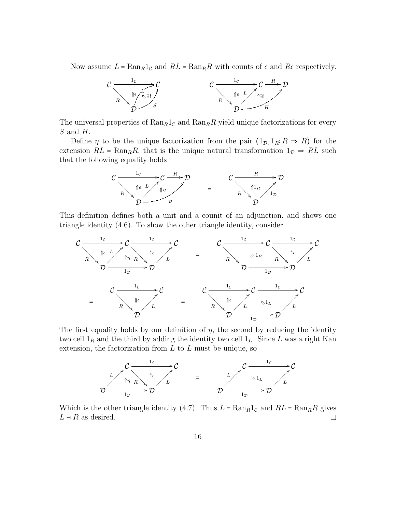Now assume  $L = \text{Ran}_R 1_c$  and  $RL = \text{Ran}_R R$  with counts of  $\epsilon$  and  $R\epsilon$  respectively.



The universal properties of  $\text{Ran}_R 1_{\mathcal{C}}$  and  $\text{Ran}_R R$  yield unique factorizations for every *S* and *H*.

Define *η* to be the unique factorization from the pair  $(1_{\mathcal{D}}, 1_R: R \Rightarrow R)$  for the extension  $RL = \text{Ran}_R R$ , that is the unique natural transformation  $1_{\mathcal{D}} \Rightarrow RL$  such that the following equality holds



This definition defines both a unit and a counit of an adjunction, and shows one triangle identity (4.6). To show the other triangle identity, consider



The first equality holds by our definition of  $\eta$ , the second by reducing the identity two cell  $1_R$  and the third by adding the identity two cell  $1_L$ . Since L was a right Kan extension, the factorization from *L* to *L* must be unique, so



Which is the other triangle identity (4.7). Thus  $L = \text{Ran}_R 1_C$  and  $RL = \text{Ran}_R R$  gives  $L \rightarrow R$  as desired.  $L \dashv R$  as desired.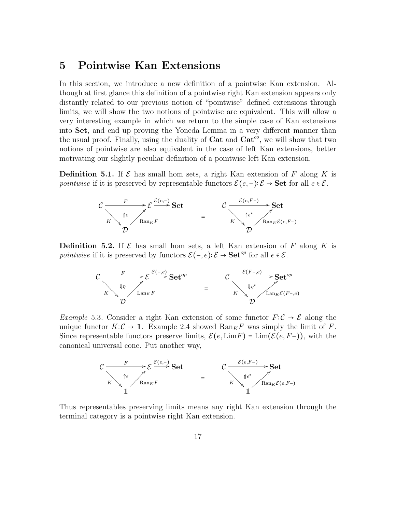#### **5 Pointwise Kan Extensions**

In this section, we introduce a new definition of a pointwise Kan extension. Although at first glance this definition of a pointwise right Kan extension appears only distantly related to our previous notion of "pointwise" defined extensions through limits, we will show the two notions of pointwise are equivalent. This will allow a very interesting example in which we return to the simple case of Kan extensions into **Set**, and end up proving the Yoneda Lemma in a very different manner than the usual proof. Finally, using the duality of **Cat** and **Cat***co*, we will show that two notions of pointwise are also equivalent in the case of left Kan extensions, better motivating our slightly peculiar definition of a pointwise left Kan extension.

**Definition 5.1.** If  $\mathcal{E}$  has small hom sets, a right Kan extension of  $F$  along  $K$  is *pointwise* if it is preserved by representable functors  $\mathcal{E}(e, -): \mathcal{E} \to \mathbf{Set}$  for all  $e \in \mathcal{E}$ .



**Definition 5.2.** If  $\mathcal{E}$  has small hom sets, a left Kan extension of  $F$  along  $K$  is *pointwise* if it is preserved by functors  $\mathcal{E}(-, e): \mathcal{E} \to \mathbf{Set}^{op}$  for all  $e \in \mathcal{E}$ .



*Example* 5.3. Consider a right Kan extension of some functor  $F: \mathcal{C} \to \mathcal{E}$  along the unique functor  $K: \mathcal{C} \to \mathbf{1}$ . Example 2.4 showed  $\text{Ran}_K F$  was simply the limit of *F*. Since representable functors preserve limits,  $\mathcal{E}(e, \text{Lim}F) = \text{Lim}(\mathcal{E}(e, F-))$ , with the canonical universal cone. Put another way,



Thus representables preserving limits means any right Kan extension through the terminal category is a pointwise right Kan extension.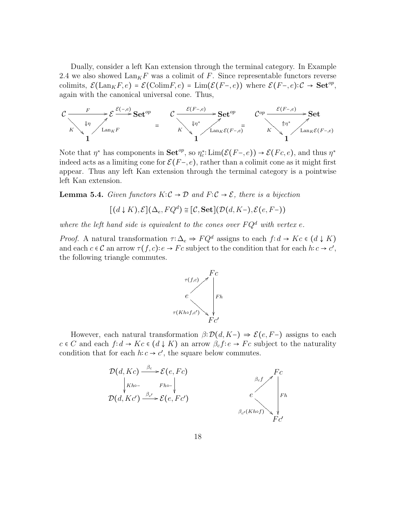Dually, consider a left Kan extension through the terminal category. In Example 2.4 we also showed  $\text{Lan}_K F$  was a colimit of *F*. Since representable functors reverse colimits,  $\mathcal{E}(\text{Lan}_K F, e) = \mathcal{E}(\text{Colim} F, e) = \text{Lim}(\mathcal{E}(F-, e))$  where  $\mathcal{E}(F-, e): \mathcal{C} \to \text{Set}^{op}$ , again with the canonical universal cone. Thus,



Note that  $\eta^*$  has components in **Set**<sup>*op*</sup>, so  $\eta_c^*$ : Lim $(\mathcal{E}(F-, e)) \to \mathcal{E}(Fc, e)$ , and thus  $\eta^*$ indeed acts as a limiting cone for  $\mathcal{E}(F-,e)$ , rather than a colimit cone as it might first appear. Thus any left Kan extension through the terminal category is a pointwise left Kan extension.

**Lemma 5.4.** *Given functors*  $K: \mathcal{C} \to \mathcal{D}$  *and*  $F: \mathcal{C} \to \mathcal{E}$ *, there is a bijection* 

$$
[(d \downarrow K), \mathcal{E}](\Delta_e, FQ^d) \cong [\mathcal{C}, \mathbf{Set}](\mathcal{D}(d, K-), \mathcal{E}(e, F-))
$$

where the left hand side is equivalent to the cones over  $FQ<sup>d</sup>$  with vertex  $e$ .

*Proof.* A natural transformation  $\tau : \Delta_e \Rightarrow FQ^d$  assigns to each  $f : d \to Kc \in (d \downarrow K)$ and each  $c \in \mathcal{C}$  an arrow  $\tau(f, c) : e \to Fc$  subject to the condition that for each  $h : c \to c'$ , the following triangle commutes.



However, each natural transformation  $\beta: \mathcal{D}(d, K-) \Rightarrow \mathcal{E}(e, F-)$  assigns to each  $c \in C$  and each  $f: d \to Kc \in (d \downarrow K)$  an arrow  $\beta_c f: e \to Fc$  subject to the naturality condition that for each  $h: c \to c'$ , the square below commutes.

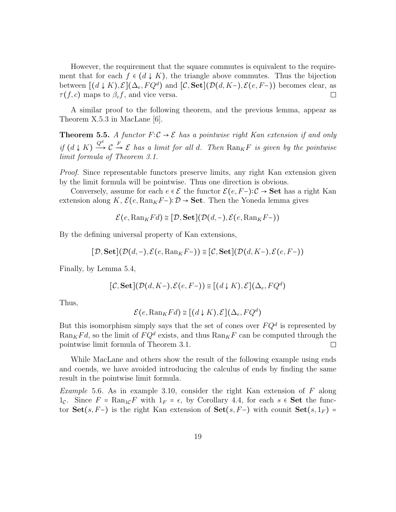However, the requirement that the square commutes is equivalent to the requirement that for each  $f \in (d \downarrow K)$ , the triangle above commutes. Thus the bijection between  $[(d \downarrow K), \mathcal{E}](\Delta_e, FQ^d)$  and  $[\mathcal{C}, \mathbf{Set}](\mathcal{D}(d, K^-), \mathcal{E}(e, F^-))$  becomes clear, as  $\tau(f, c)$  maps to  $\beta_c f$ , and vice versa.  $\tau(f, c)$  maps to  $\beta_c f$ , and vice versa.

A similar proof to the following theorem, and the previous lemma, appear as Theorem X.5.3 in MacLane [6].

**Theorem 5.5.** *A functor*  $F: \mathcal{C} \to \mathcal{E}$  *has a pointwise right Kan extension if and only if*  $(d \downarrow K) \frac{Q^d}{d}$  $\overrightarrow{C}$  $\frac{F}{\sigma}$  **E** has a limit for all *d.* Then  $\text{Ran}_K F$  is given by the pointwise *limit formula of Theorem 3.1.*

*Proof.* Since representable functors preserve limits, any right Kan extension given by the limit formula will be pointwise. Thus one direction is obvious.

Conversely, assume for each  $e \in \mathcal{E}$  the functor  $\mathcal{E}(e, F-) : \mathcal{C} \to \mathbf{Set}$  has a right Kan extension along *K*,  $\mathcal{E}(e, \text{Ran}_K F-) : \mathcal{D} \to \mathbf{Set}$ . Then the Yoneda lemma gives

$$
\mathcal{E}(e, \mathrm{Ran}_K Fd) \cong [\mathcal{D}, \mathbf{Set}](\mathcal{D}(d, -), \mathcal{E}(e, \mathrm{Ran}_K F-))
$$

By the defining universal property of Kan extensions,

 $[\mathcal{D}, \mathbf{Set}](\mathcal{D}(d, -), \mathcal{E}(e, \mathrm{Ran}_K F-)) \cong [\mathcal{C}, \mathbf{Set}](\mathcal{D}(d, K-), \mathcal{E}(e, F-))$ 

Finally, by Lemma 5.4,

$$
[\mathcal{C},\mathbf{Set}](\mathcal{D}(d,K-),\mathcal{E}(e,F-)) \cong [(d\downarrow K),\mathcal{E}](\Delta_e,FQ^d)
$$

Thus,

$$
\mathcal{E}(e, \mathrm{Ran}_K Fd) \cong [(d \downarrow K), \mathcal{E}](\Delta_e, FQ^d)
$$

But this isomorphism simply says that the set of cones over  $FQ^d$  is represented by  $\text{Ran}_K F d$ , so the limit of  $F Q^d$  exists, and thus  $\text{Ran}_K F$  can be computed through the pointwise limit formula of Theorem 3.1.  $\Box$ 

While MacLane and others show the result of the following example using ends and coends, we have avoided introducing the calculus of ends by finding the same result in the pointwise limit formula.

*Example* 5.6*.* As in example 3.10, consider the right Kan extension of *F* along 1<sub>C</sub>. Since  $F = \text{Ran}_{1}cF$  with  $1_F = \epsilon$ , by Corollary 4.4, for each  $s \in$  Set the functor **Set**(*s, F*−) is the right Kan extension of **Set**(*s, F*−) with counit **Set**(*s,* 1<sub>*F*</sub>) =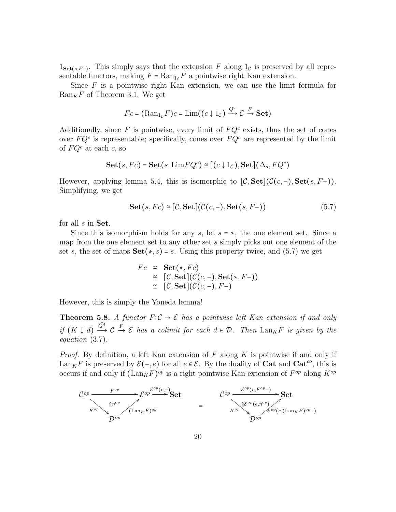$1_{\mathbf{Set}(s,F-)}$ . This simply says that the extension *F* along  $1_{\mathcal{C}}$  is preserved by all representable functors, making  $F = \text{Ran}_{1c} F$  a pointwise right Kan extension.

Since *F* is a pointwise right Kan extension, we can use the limit formula for  $\mathrm{Ran}_K F$  of Theorem 3.1. We get

$$
Fc = (\text{Ran}_{1c}F)c = \text{Lim}((c \downarrow 1_c) \xrightarrow{Q^c} C \xrightarrow{F} \textbf{Set})
$$

Additionally, since  $F$  is pointwise, every limit of  $FQ<sup>c</sup>$  exists, thus the set of cones over  $FQ^c$  is representable; specifically, cones over  $FQ^c$  are represented by the limit of *F Q<sup>c</sup>* at each *c*, so

Set(*s*, *Fc*) = Set(*s*, 
$$
LimFQ^c
$$
)  $\cong$  [(*c*  $\downarrow$  1*c*), Set]( $\Delta_s$ , *FQ^c*)

However, applying lemma 5.4, this is isomorphic to  $[\mathcal{C}, \mathbf{Set}](\mathcal{C}(c, -), \mathbf{Set}(s, F-))$ . Simplifying, we get

$$
\mathbf{Set}(s, Fc) \cong [\mathcal{C}, \mathbf{Set}](\mathcal{C}(c, -), \mathbf{Set}(s, F-))
$$
\n(5.7)

for all *s* in **Set**.

Since this isomorphism holds for any *<sup>s</sup>*, let *<sup>s</sup>* <sup>=</sup> <sup>∗</sup>, the one element set. Since a map from the one element set to any other set *s* simply picks out one element of the set *s*, the set of maps  $Set(*, s) = s$ . Using this property twice, and (5.7) we get

$$
Fc \cong \textbf{Set}(*,Fc)
$$
  
\n
$$
\cong [C,\textbf{Set}](C(c,-),\textbf{Set}(*,F-))
$$
  
\n
$$
\cong [C,\textbf{Set}](C(c,-),F-)
$$

However, this is simply the Yoneda lemma!

**Theorem 5.8.** *A functor*  $F: \mathcal{C} \to \mathcal{E}$  *has a pointwise left Kan extension if and only if*  $(K \downarrow d) \frac{\bar{Q}^d}{Q}$  $\longrightarrow$  C  $\rightarrow$  **E** *has a colimit for each*  $d \in \mathcal{D}$ . Then  $\text{Lan}_K F$  *is given by the equation* (3.7)*.*

*Proof.* By definition, a left Kan extension of *F* along *K* is pointwise if and only if Lan<sub>K</sub>F is preserved by  $\mathcal{E}(-,e)$  for all  $e \in \mathcal{E}$ . By the duality of **Cat** and **Cat**<sup>*co*</sup>, this is occurs if and only if  $(\text{Lan}_K F)^{op}$  is a right pointwise Kan extension of  $F^{op}$  along  $K^{op}$ 

$$
\begin{array}{ccccc}\n\mathcal{C}^{op} & \xrightarrow{F^{op}} & \mathcal{E}^{op} \xrightarrow{\mathcal{E}^{op}(e,-)} & \mathbf{Set} \\
& & & \xrightarrow{m^{op}} & \mathcal{E}^{op} & \xrightarrow{Lan_{K}F)^{op}} & \mathbf{Set} \\
& & & & \xrightarrow{F^{op}} & \mathcal{E}^{op}(e,\eta^{op}) & \xrightarrow{F^{op}} & \mathcal{E}^{op}(e,(\mathrm{Lan}_{K}F)^{op}) \\
& & & \mathcal{D}^{op} & \mathcal{D}^{op}\n\end{array}
$$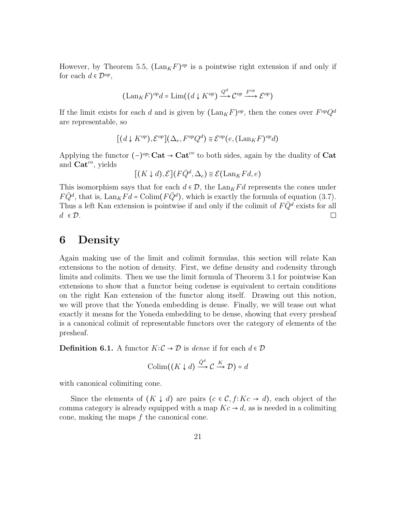However, by Theorem 5.5,  $(\text{Lan}_K F)^{op}$  is a pointwise right extension if and only if for each  $d \in \mathcal{D}^{op}$ ,

$$
(\mathrm{Lan}_K F)^{op}d=\mathrm{Lim}((d\downarrow K^{op})\xrightarrow{Q^d} \mathcal{C}^{op}\xrightarrow{F^{op}} \mathcal{E}^{op})
$$

If the limit exists for each *d* and is given by  $(\text{Lan}_K F)^{op}$ , then the cones over  $F^{op}Q^d$ are representable, so

$$
[(d \downarrow K^{op}), \mathcal{E}^{op}](\Delta_e, F^{op}Q^d) \cong \mathcal{E}^{op}(e, (\text{Lan}_K F)^{op}d)
$$

Applying the functor (−) *op*<sup>∶</sup> **Cat** <sup>→</sup> **Cat***co* to both sides, again by the duality of **Cat** and **Cat***co*, yields

$$
[(K \downarrow d), \mathcal{E}](F\bar{Q}^d, \Delta_e) \cong \mathcal{E}(\text{Lan}_K Fd, e)
$$

This isomorphism says that for each  $d \in \mathcal{D}$ , the Lan<sub>K</sub> $Fd$  represents the cones under  $F\bar{Q}^d$ , that is,  $\text{Lan}_K Fd = \text{Colim}(F\bar{Q}^d)$ , which is exactly the formula of equation (3.7). Thus a left Kan extension is pointwise if and only if the colimit of  $F\overline{Q}$ <sup>d</sup> exists for all  $\Box$  $d \in \mathcal{D}$ .

#### **6 Density**

Again making use of the limit and colimit formulas, this section will relate Kan extensions to the notion of density. First, we define density and codensity through limits and colimits. Then we use the limit formula of Theorem 3.1 for pointwise Kan extensions to show that a functor being codense is equivalent to certain conditions on the right Kan extension of the functor along itself. Drawing out this notion, we will prove that the Yoneda embedding is dense. Finally, we will tease out what exactly it means for the Yoneda embedding to be dense, showing that every presheaf is a canonical colimit of representable functors over the category of elements of the presheaf.

**Definition 6.1.** A functor  $K: \mathcal{C} \to \mathcal{D}$  is *dense* if for each  $d \in \mathcal{D}$ 

$$
\mathrm{Colim}((K \downarrow d) \xrightarrow{\bar{Q}^d} \mathcal{C} \xrightarrow{K} \mathcal{D}) = d
$$

with canonical colimiting cone.

Since the elements of  $(K \downarrow d)$  are pairs  $(c \in \mathcal{C}, f: Kc \to d)$ , each object of the comma category is already equipped with a map  $Kc \rightarrow d$ , as is needed in a colimiting cone, making the maps *f* the canonical cone.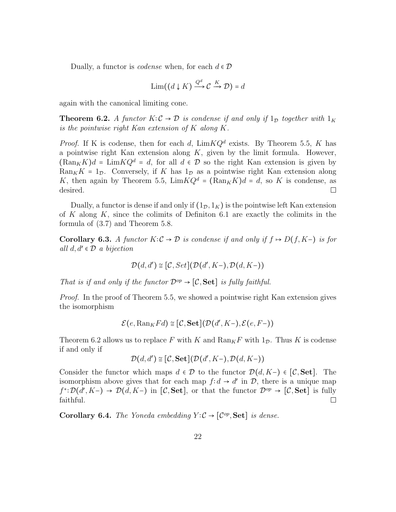Dually, a functor is *codense* when, for each  $d \in \mathcal{D}$ 

$$
\operatorname{Lim}((d \downarrow K) \xrightarrow{Q^d} \mathcal{C} \xrightarrow{K} \mathcal{D}) = d
$$

again with the canonical limiting cone.

**Theorem 6.2.** *A functor*  $K: \mathcal{C} \to \mathcal{D}$  *is condense if and only if*  $1_{\mathcal{D}}$  *together with*  $1_K$ *is the pointwise right Kan extension of K along K.*

*Proof.* If K is codense, then for each *d*,  $\lim KQ^d$  exists. By Theorem 5.5, K has a pointwise right Kan extension along *K*, given by the limit formula. However,  $(\text{Ran}_K K)d = \text{Lim} KQ^d = d$ , for all  $d \in \mathcal{D}$  so the right Kan extension is given by  $\text{Ran}_K K = 1_{\mathcal{D}}$ . Conversely, if *K* has  $1_{\mathcal{D}}$  as a pointwise right Kan extension along *K*, then again by Theorem 5.5,  $\lim KQ^d = (\text{Ran}_K K)d = d$ , so *K* is condense, as desired. desired.

Dually, a functor is dense if and only if  $(1_{\mathcal{D}}, 1_K)$  is the pointwise left Kan extension of *K* along *K*, since the colimits of Definiton 6.1 are exactly the colimits in the formula of (3.7) and Theorem 5.8.

**Corollary 6.3.** *A functor*  $K: \mathcal{C} \to \mathcal{D}$  *is condense if and only if*  $f \mapsto D(f, K-)$  *is for all d, d*′ ∈ D *a bijection*

$$
\mathcal{D}(d,d')\cong\big[\mathcal{C},Set\big]\big(\mathcal{D}(d',K-),\mathcal{D}(d,K-)\big)
$$

*That is if and only if the functor*  $\mathcal{D}^{op} \rightarrow [\mathcal{C}, \mathbf{Set}]$  *is fully faithful.* 

*Proof.* In the proof of Theorem 5.5, we showed a pointwise right Kan extension gives the isomorphism

$$
\mathcal{E}(e, \mathrm{Ran}_K Fd) \cong [\mathcal{C}, \mathbf{Set}](\mathcal{D}(d', K-), \mathcal{E}(e, F-))
$$

Theorem 6.2 allows us to replace F with K and  $\text{Ran}_K F$  with  $1_\mathcal{D}$ . Thus K is codense if and only if

$$
\mathcal{D}(d,d')\cong\big[\mathcal{C},\mathbf{Set}\big]\big(\mathcal{D}(d',K-),\mathcal{D}(d,K-)\big)
$$

Consider the functor which maps  $d \in \mathcal{D}$  to the functor  $\mathcal{D}(d, K-) \in [\mathcal{C}, \mathbf{Set}]$ . The isomorphism above gives that for each map  $f$ ∶ *d* → *d'* in D, there is a unique map  $f^* : \mathcal{D}(d', K-) \to \mathcal{D}(d, K-)$  in  $[\mathcal{C}, \mathbf{Set}]$ , or that the functor  $\mathcal{D}^{op} \to [\mathcal{C}, \mathbf{Set}]$  is fully faithful.

**Corollary 6.4.** *The Yoneda embedding*  $Y: \mathcal{C} \to [\mathcal{C}^{op}, \mathbf{Set}]$  *is dense.*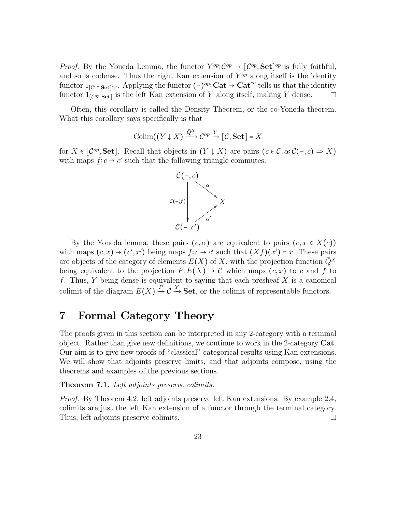*Proof.* By the Yoneda Lemma, the functor  $Y^{op}: \mathcal{C}^{op} \to [\mathcal{C}^{op}, \mathbf{Set}]^{op}$  is fully faithful, and so is codense. Thus the right Kan extension of *Y op* along itself is the identity functor  $1_{[C^{op}, \mathbf{Set}]^{op}}$ . Applying the functor  $(-)^{op} \colon \mathbf{Cat} \to \mathbf{Cat}^{co}$  tells us that the identity functor  $1_{[C^{op}, \mathbf{Set}]}$  is the left Kan extension of *Y* along itself, making *Y* dense.

Often, this corollary is called the Density Theorem, or the co-Yoneda theorem. What this corollary says specifically is that

$$
\mathrm{Colim}((Y \downarrow X) \xrightarrow{\bar{Q}^X} \mathcal{C}^{op} \xrightarrow{Y} [\mathcal{C}, \mathbf{Set}] = X
$$

for  $X \in [\mathcal{C}^{op}, \mathbf{Set}]$ . Recall that objects in  $(Y \downarrow X)$  are pairs  $(c \in \mathcal{C}, \alpha : \mathcal{C}(-, c) \Rightarrow X)$ with maps  $f$ ∶ *c* → *c*' such that the following triangle commutes:



By the Yoneda lemma, these pairs  $(c, \alpha)$  are equivalent to pairs  $(c, x \in X(c))$ with maps  $(c, x) \rightarrow (c', x')$  being maps  $f: c \rightarrow c'$  such that  $(Xf)(x') = x$ . These pairs are objects of the category of elements  $E(X)$  of X, with the projection function  $Q^X$ being equivalent to the projection  $P: E(X) \to \mathcal{C}$  which maps  $(c, x)$  to c and f to *f*. Thus, *Y* being dense is equivalent to saying that each presheaf *X* is a canonical colimit of the diagram  $E(X) \stackrel{P}{\rightharpoonup}$  $\rightarrow$  C  $\frac{Y}{Y}$ **Set**, or the colimit of representable functors.

### **7 Formal Category Theory**

The proofs given in this section can be interpreted in any 2-category with a terminal object. Rather than give new definitions, we continue to work in the 2-category **Cat**. Our aim is to give new proofs of "classical" categorical results using Kan extensions. We will show that adjoints preserve limits, and that adjoints compose, using the theorems and examples of the previous sections.

**Theorem 7.1.** *Left adjoints preserve colimits.*

*Proof.* By Theorem 4.2, left adjoints preserve left Kan extensions. By example 2.4, colimits are just the left Kan extension of a functor through the terminal category. Thus, left adjoints preserve colimits. ⊔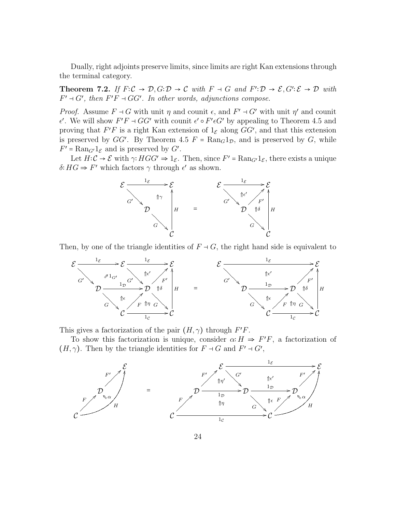Dually, right adjoints preserve limits, since limits are right Kan extensions through the terminal category.

**Theorem 7.2.** *If*  $F: \mathcal{C} \to \mathcal{D}, G: \mathcal{D} \to \mathcal{C}$  *with*  $F \dashv G$  *and*  $F': \mathcal{D} \to \mathcal{E}, G': \mathcal{E} \to \mathcal{D}$  *with*  $F' \dashv G'$ , then  $F'F \dashv GG'$ . In other words, adjunctions compose.

*Proof.* Assume  $F \dashv G$  with unit  $\eta$  and counit  $\epsilon$ , and  $F' \dashv G'$  with unit  $\eta'$  and counit  $\epsilon'$ . We will show *F'F* ⊣ *GG'* with counit  $\epsilon' \circ F' \epsilon G'$  by appealing to Theorem 4.5 and proving that  $F'F$  is a right Kan extension of  $1_{\mathcal{E}}$  along  $GG'$ , and that this extension is preserved by *GG'*. By Theorem 4.5  $F = \text{Ran}_G 1_D$ , and is preserved by *G*, while  $F' = \text{Ran}_{G'} 1_{\mathcal{E}}$  and is preserved by  $G'$ .

Let  $H: \mathcal{C} \to \mathcal{E}$  with  $\gamma: HGG' \to 1_{\mathcal{E}}$ . Then, since  $F' = \text{Ran}_{G'}1_{\mathcal{E}}$ , there exists a unique  $\delta$ <sup>2</sup> *HG*  $\Rightarrow$  *F'* which factors  $\gamma$  through  $\epsilon'$  as shown.



Then, by one of the triangle identities of  $F \dashv G$ , the right hand side is equivalent to



This gives a factorization of the pair  $(H, \gamma)$  through  $F'F$ .

To show this factorization is unique, consider  $\alpha$ <sup>∶</sup> *H*  $\Rightarrow$  *F*<sup></sup>*F*, a factorization of  $(H, \gamma)$ . Then by the triangle identities for  $F \dashv G$  and  $F' \dashv G'$ ,

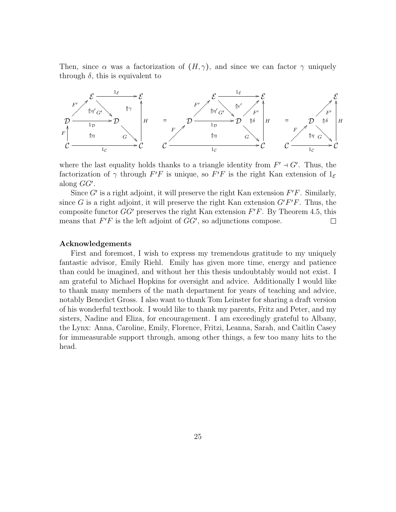Then, since  $\alpha$  was a factorization of  $(H, \gamma)$ , and since we can factor  $\gamma$  uniquely through  $\delta$ , this is equivalent to



where the last equality holds thanks to a triangle identity from  $F' \dashv G'$ . Thus, the factorization of  $\gamma$  through  $F'F$  is unique, so  $F'F$  is the right Kan extension of  $1_{\mathcal{E}}$ along *GG*′ .

Since *G*′ is a right adjoint, it will preserve the right Kan extension *F*′*F*. Similarly, since *G* is a right adjoint, it will preserve the right Kan extension  $G'F'F$ . Thus, the composite functor *GG*′ preserves the right Kan extension *F*′*F*. By Theorem 4.5, this means that  $F'F$  is the left adjoint of  $GG'$ , so adjunctions compose.  $\Box$ 

#### **Acknowledgements**

First and foremost, I wish to express my tremendous gratitude to my uniquely fantastic advisor, Emily Riehl. Emily has given more time, energy and patience than could be imagined, and without her this thesis undoubtably would not exist. I am grateful to Michael Hopkins for oversight and advice. Additionally I would like to thank many members of the math department for years of teaching and advice, notably Benedict Gross. I also want to thank Tom Leinster for sharing a draft version of his wonderful textbook. I would like to thank my parents, Fritz and Peter, and my sisters, Nadine and Eliza, for encouragement. I am exceedingly grateful to Albany, the Lynx: Anna, Caroline, Emily, Florence, Fritzi, Leanna, Sarah, and Caitlin Casey for immeasurable support through, among other things, a few too many hits to the head.